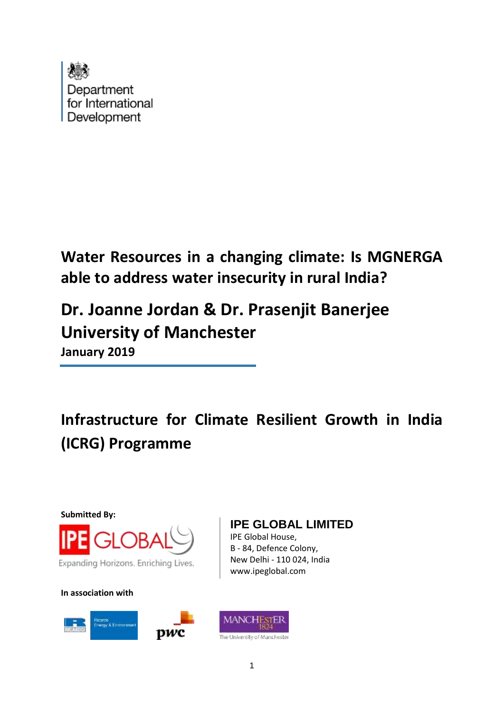

**Water Resources in a changing climate: Is MGNERGA able to address water insecurity in rural India?**

# **Dr. Joanne Jordan & Dr. Prasenjit Banerjee University of Manchester January 2019**

**Infrastructure for Climate Resilient Growth in India (ICRG) Programme**

**Submitted By:**



Expanding Horizons. Enriching Lives.

**In association with**



## **IPE GLOBAL LIMITED**

IPE Global House, B - 84, Defence Colony, New Delhi - 110 024, India www.ipeglobal.com

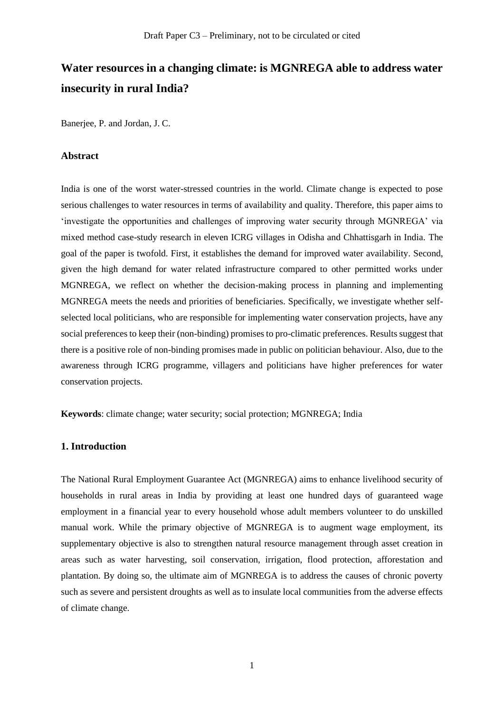## **Water resources in a changing climate: is MGNREGA able to address water insecurity in rural India?**

Banerjee, P. and Jordan, J. C.

#### **Abstract**

India is one of the worst water-stressed countries in the world. Climate change is expected to pose serious challenges to water resources in terms of availability and quality. Therefore, this paper aims to 'investigate the opportunities and challenges of improving water security through MGNREGA' via mixed method case-study research in eleven ICRG villages in Odisha and Chhattisgarh in India. The goal of the paper is twofold. First, it establishes the demand for improved water availability. Second, given the high demand for water related infrastructure compared to other permitted works under MGNREGA, we reflect on whether the decision-making process in planning and implementing MGNREGA meets the needs and priorities of beneficiaries. Specifically, we investigate whether selfselected local politicians, who are responsible for implementing water conservation projects, have any social preferences to keep their (non-binding) promises to pro-climatic preferences. Results suggest that there is a positive role of non-binding promises made in public on politician behaviour. Also, due to the awareness through ICRG programme, villagers and politicians have higher preferences for water conservation projects.

**Keywords**: climate change; water security; social protection; MGNREGA; India

#### **1. Introduction**

The National Rural Employment Guarantee Act (MGNREGA) aims to enhance livelihood security of households in rural areas in India by providing at least one hundred days of guaranteed wage employment in a financial year to every household whose adult members volunteer to do unskilled manual work. While the primary objective of MGNREGA is to augment wage employment, its supplementary objective is also to strengthen natural resource management through asset creation in areas such as water harvesting, soil conservation, irrigation, flood protection, afforestation and plantation. By doing so, the ultimate aim of MGNREGA is to address the causes of chronic poverty such as severe and persistent droughts as well as to insulate local communities from the adverse effects of climate change.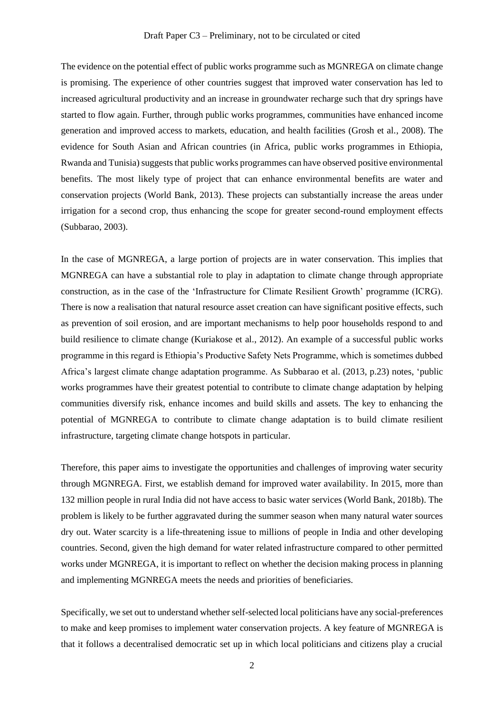The evidence on the potential effect of public works programme such as MGNREGA on climate change is promising. The experience of other countries suggest that improved water conservation has led to increased agricultural productivity and an increase in groundwater recharge such that dry springs have started to flow again. Further, through public works programmes, communities have enhanced income generation and improved access to markets, education, and health facilities (Grosh et al., 2008). The evidence for South Asian and African countries (in Africa, public works programmes in Ethiopia, Rwanda and Tunisia) suggests that public works programmes can have observed positive environmental benefits. The most likely type of project that can enhance environmental benefits are water and conservation projects (World Bank, 2013). These projects can substantially increase the areas under irrigation for a second crop, thus enhancing the scope for greater second-round employment effects (Subbarao, 2003).

In the case of MGNREGA, a large portion of projects are in water conservation. This implies that MGNREGA can have a substantial role to play in adaptation to climate change through appropriate construction, as in the case of the 'Infrastructure for Climate Resilient Growth' programme (ICRG). There is now a realisation that natural resource asset creation can have significant positive effects, such as prevention of soil erosion, and are important mechanisms to help poor households respond to and build resilience to climate change (Kuriakose et al., 2012). An example of a successful public works programme in this regard is Ethiopia's Productive Safety Nets Programme, which is sometimes dubbed Africa's largest climate change adaptation programme. As Subbarao et al. (2013, p.23) notes, 'public works programmes have their greatest potential to contribute to climate change adaptation by helping communities diversify risk, enhance incomes and build skills and assets. The key to enhancing the potential of MGNREGA to contribute to climate change adaptation is to build climate resilient infrastructure, targeting climate change hotspots in particular.

Therefore, this paper aims to investigate the opportunities and challenges of improving water security through MGNREGA. First, we establish demand for improved water availability. In 2015, more than 132 million people in rural India did not have access to basic water services (World Bank, 2018b). The problem is likely to be further aggravated during the summer season when many natural water sources dry out. Water scarcity is a life-threatening issue to millions of people in India and other developing countries. Second, given the high demand for water related infrastructure compared to other permitted works under MGNREGA, it is important to reflect on whether the decision making process in planning and implementing MGNREGA meets the needs and priorities of beneficiaries.

Specifically, we set out to understand whether self-selected local politicians have any social-preferences to make and keep promises to implement water conservation projects. A key feature of MGNREGA is that it follows a decentralised democratic set up in which local politicians and citizens play a crucial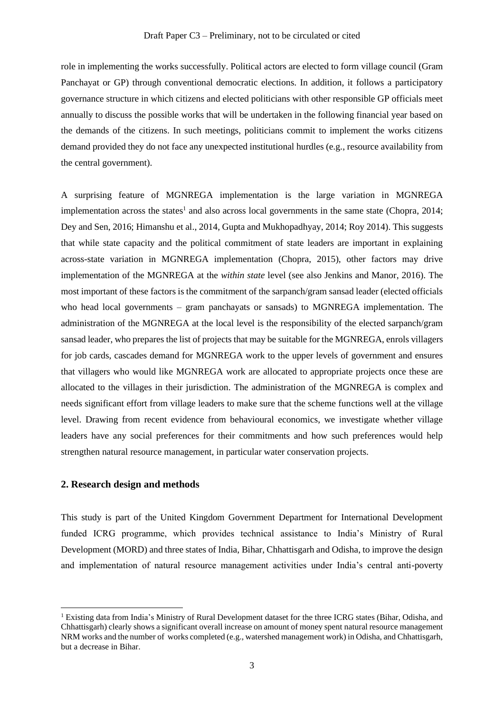role in implementing the works successfully. Political actors are elected to form village council (Gram Panchayat or GP) through conventional democratic elections. In addition, it follows a participatory governance structure in which citizens and elected politicians with other responsible GP officials meet annually to discuss the possible works that will be undertaken in the following financial year based on the demands of the citizens. In such meetings, politicians commit to implement the works citizens demand provided they do not face any unexpected institutional hurdles (e.g., resource availability from the central government).

A surprising feature of MGNREGA implementation is the large variation in MGNREGA implementation across the states<sup>1</sup> and also across local governments in the same state (Chopra, 2014; Dey and Sen, 2016; Himanshu et al., 2014, Gupta and Mukhopadhyay, 2014; Roy 2014). This suggests that while state capacity and the political commitment of state leaders are important in explaining across-state variation in MGNREGA implementation (Chopra, 2015), other factors may drive implementation of the MGNREGA at the *within state* level (see also Jenkins and Manor, 2016). The most important of these factors is the commitment of the sarpanch/gram sansad leader (elected officials who head local governments – gram panchayats or sansads) to MGNREGA implementation. The administration of the MGNREGA at the local level is the responsibility of the elected sarpanch/gram sansad leader, who prepares the list of projects that may be suitable for the MGNREGA, enrols villagers for job cards, cascades demand for MGNREGA work to the upper levels of government and ensures that villagers who would like MGNREGA work are allocated to appropriate projects once these are allocated to the villages in their jurisdiction. The administration of the MGNREGA is complex and needs significant effort from village leaders to make sure that the scheme functions well at the village level. Drawing from recent evidence from behavioural economics, we investigate whether village leaders have any social preferences for their commitments and how such preferences would help strengthen natural resource management, in particular water conservation projects.

#### **2. Research design and methods**

This study is part of the United Kingdom Government Department for International Development funded ICRG programme, which provides technical assistance to India's Ministry of Rural Development (MORD) and three states of India, Bihar, Chhattisgarh and Odisha, to improve the design and implementation of natural resource management activities under India's central anti-poverty

<sup>1</sup> Existing data from India's Ministry of Rural Development dataset for the three ICRG states (Bihar, Odisha, and Chhattisgarh) clearly shows a significant overall increase on amount of money spent natural resource management NRM works and the number of works completed (e.g., watershed management work) in Odisha, and Chhattisgarh, but a decrease in Bihar.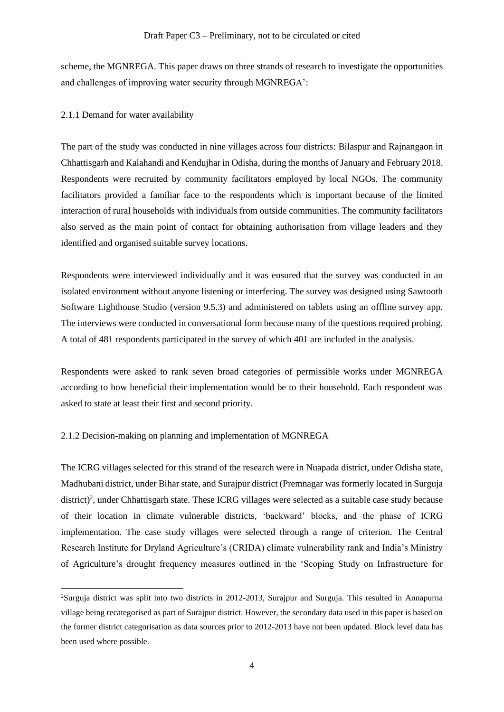scheme, the MGNREGA. This paper draws on three strands of research to investigate the opportunities and challenges of improving water security through MGNREGA':

2.1.1 Demand for water availability

The part of the study was conducted in nine villages across four districts: Bilaspur and Rajnangaon in Chhattisgarh and Kalahandi and Kendujhar in Odisha, during the months of January and February 2018. Respondents were recruited by community facilitators employed by local NGOs. The community facilitators provided a familiar face to the respondents which is important because of the limited interaction of rural households with individuals from outside communities. The community facilitators also served as the main point of contact for obtaining authorisation from village leaders and they identified and organised suitable survey locations.

Respondents were interviewed individually and it was ensured that the survey was conducted in an isolated environment without anyone listening or interfering. The survey was designed using Sawtooth Software Lighthouse Studio (version 9.5.3) and administered on tablets using an offline survey app. The interviews were conducted in conversational form because many of the questions required probing. A total of 481 respondents participated in the survey of which 401 are included in the analysis.

Respondents were asked to rank seven broad categories of permissible works under MGNREGA according to how beneficial their implementation would be to their household. Each respondent was asked to state at least their first and second priority.

#### 2.1.2 Decision-making on planning and implementation of MGNREGA

The ICRG villages selected for this strand of the research were in Nuapada district, under Odisha state, Madhubani district, under Bihar state, and Surajpur district (Premnagar was formerly located in Surguja district)<sup>2</sup>, under Chhattisgarh state. These ICRG villages were selected as a suitable case study because of their location in climate vulnerable districts, 'backward' blocks, and the phase of ICRG implementation. The case study villages were selected through a range of criterion. The Central Research Institute for Dryland Agriculture's (CRIDA) climate vulnerability rank and India's Ministry of Agriculture's drought frequency measures outlined in the 'Scoping Study on Infrastructure for

<sup>2</sup>Surguja district was split into two districts in 2012-2013, Surajpur and Surguja. This resulted in Annapurna village being recategorised as part of Surajpur district. However, the secondary data used in this paper is based on the former district categorisation as data sources prior to 2012-2013 have not been updated. Block level data has been used where possible.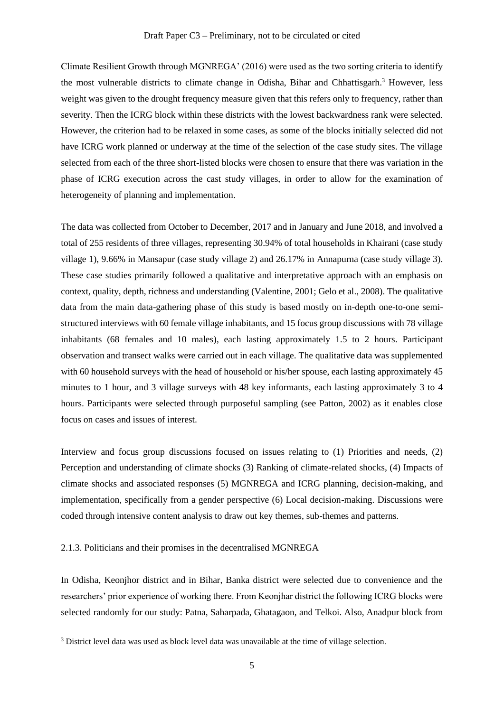Climate Resilient Growth through MGNREGA' (2016) were used as the two sorting criteria to identify the most vulnerable districts to climate change in Odisha, Bihar and Chhattisgarh.<sup>3</sup> However, less weight was given to the drought frequency measure given that this refers only to frequency, rather than severity. Then the ICRG block within these districts with the lowest backwardness rank were selected. However, the criterion had to be relaxed in some cases, as some of the blocks initially selected did not have ICRG work planned or underway at the time of the selection of the case study sites. The village selected from each of the three short-listed blocks were chosen to ensure that there was variation in the phase of ICRG execution across the cast study villages, in order to allow for the examination of heterogeneity of planning and implementation.

The data was collected from October to December, 2017 and in January and June 2018, and involved a total of 255 residents of three villages, representing 30.94% of total households in Khairani (case study village 1), 9.66% in Mansapur (case study village 2) and 26.17% in Annapurna (case study village 3). These case studies primarily followed a qualitative and interpretative approach with an emphasis on context, quality, depth, richness and understanding (Valentine, 2001; Gelo et al., 2008). The qualitative data from the main data-gathering phase of this study is based mostly on in-depth one-to-one semistructured interviews with 60 female village inhabitants, and 15 focus group discussions with 78 village inhabitants (68 females and 10 males), each lasting approximately 1.5 to 2 hours. Participant observation and transect walks were carried out in each village. The qualitative data was supplemented with 60 household surveys with the head of household or his/her spouse, each lasting approximately 45 minutes to 1 hour, and 3 village surveys with 48 key informants, each lasting approximately 3 to 4 hours. Participants were selected through purposeful sampling (see Patton, 2002) as it enables close focus on cases and issues of interest.

Interview and focus group discussions focused on issues relating to (1) Priorities and needs, (2) Perception and understanding of climate shocks (3) Ranking of climate-related shocks, (4) Impacts of climate shocks and associated responses (5) MGNREGA and ICRG planning, decision-making, and implementation, specifically from a gender perspective (6) Local decision-making. Discussions were coded through intensive content analysis to draw out key themes, sub-themes and patterns.

2.1.3. Politicians and their promises in the decentralised MGNREGA

In Odisha, Keonjhor district and in Bihar, Banka district were selected due to convenience and the researchers' prior experience of working there. From Keonjhar district the following ICRG blocks were selected randomly for our study: Patna, Saharpada, Ghatagaon, and Telkoi. Also, Anadpur block from

<sup>3</sup> District level data was used as block level data was unavailable at the time of village selection.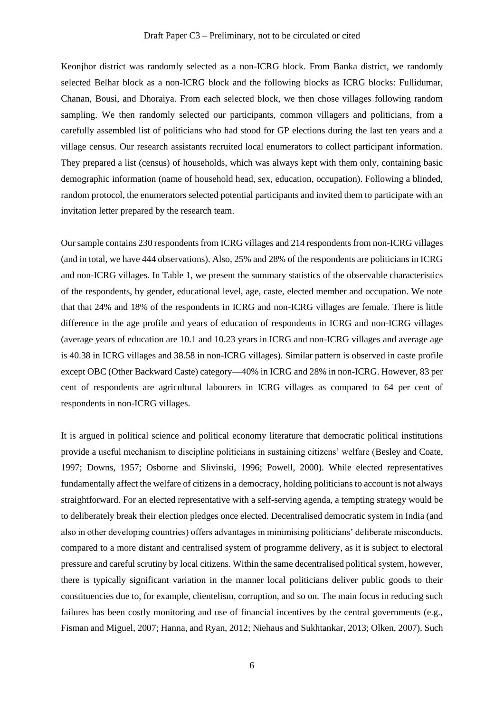Keonjhor district was randomly selected as a non-ICRG block. From Banka district, we randomly selected Belhar block as a non-ICRG block and the following blocks as ICRG blocks: Fullidumar, Chanan, Bousi, and Dhoraiya. From each selected block, we then chose villages following random sampling. We then randomly selected our participants, common villagers and politicians, from a carefully assembled list of politicians who had stood for GP elections during the last ten years and a village census. Our research assistants recruited local enumerators to collect participant information. They prepared a list (census) of households, which was always kept with them only, containing basic demographic information (name of household head, sex, education, occupation). Following a blinded, random protocol, the enumerators selected potential participants and invited them to participate with an invitation letter prepared by the research team.

Our sample contains 230 respondents from ICRG villages and 214 respondents from non-ICRG villages (and in total, we have 444 observations). Also, 25% and 28% of the respondents are politicians in ICRG and non-ICRG villages. In Table 1, we present the summary statistics of the observable characteristics of the respondents, by gender, educational level, age, caste, elected member and occupation. We note that that 24% and 18% of the respondents in ICRG and non-ICRG villages are female. There is little difference in the age profile and years of education of respondents in ICRG and non-ICRG villages (average years of education are 10.1 and 10.23 years in ICRG and non-ICRG villages and average age is 40.38 in ICRG villages and 38.58 in non-ICRG villages). Similar pattern is observed in caste profile except OBC (Other Backward Caste) category—40% in ICRG and 28% in non-ICRG. However, 83 per cent of respondents are agricultural labourers in ICRG villages as compared to 64 per cent of respondents in non-ICRG villages.

It is argued in political science and political economy literature that democratic political institutions provide a useful mechanism to discipline politicians in sustaining citizens' welfare (Besley and Coate, 1997; Downs, 1957; Osborne and Slivinski, 1996; Powell, 2000). While elected representatives fundamentally affect the welfare of citizens in a democracy, holding politicians to account is not always straightforward. For an elected representative with a self-serving agenda, a tempting strategy would be to deliberately break their election pledges once elected. Decentralised democratic system in India (and also in other developing countries) offers advantages in minimising politicians' deliberate misconducts, compared to a more distant and centralised system of programme delivery, as it is subject to electoral pressure and careful scrutiny by local citizens. Within the same decentralised political system, however, there is typically significant variation in the manner local politicians deliver public goods to their constituencies due to, for example, clientelism, corruption, and so on. The main focus in reducing such failures has been costly monitoring and use of financial incentives by the central governments (e.g., Fisman and Miguel, 2007; Hanna, and Ryan, 2012; Niehaus and Sukhtankar, 2013; Olken, 2007). Such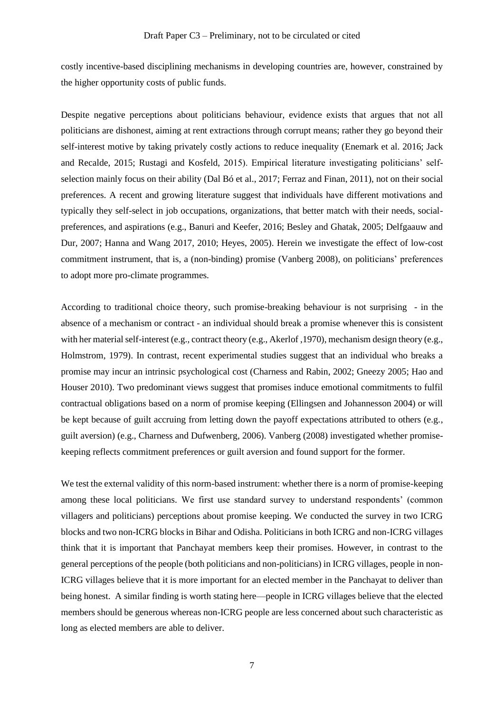costly incentive-based disciplining mechanisms in developing countries are, however, constrained by the higher opportunity costs of public funds.

Despite negative perceptions about politicians behaviour, evidence exists that argues that not all politicians are dishonest, aiming at rent extractions through corrupt means; rather they go beyond their self-interest motive by taking privately costly actions to reduce inequality (Enemark et al. 2016; Jack and Recalde, 2015; Rustagi and Kosfeld, 2015). Empirical literature investigating politicians' selfselection mainly focus on their ability (Dal Bó et al., 2017; Ferraz and Finan, 2011), not on their social preferences. A recent and growing literature suggest that individuals have different motivations and typically they self-select in job occupations, organizations, that better match with their needs, socialpreferences, and aspirations (e.g., Banuri and Keefer, 2016; Besley and Ghatak, 2005; Delfgaauw and Dur, 2007; Hanna and Wang 2017, 2010; Heyes, 2005). Herein we investigate the effect of low-cost commitment instrument, that is, a (non-binding) promise (Vanberg 2008), on politicians' preferences to adopt more pro-climate programmes.

According to traditional choice theory, such promise-breaking behaviour is not surprising - in the absence of a mechanism or contract - an individual should break a promise whenever this is consistent with her material self-interest (e.g., contract theory (e.g., Akerlof ,1970), mechanism design theory (e.g., Holmstrom, 1979). In contrast, recent experimental studies suggest that an individual who breaks a promise may incur an intrinsic psychological cost (Charness and Rabin, 2002; Gneezy 2005; Hao and Houser 2010). Two predominant views suggest that promises induce emotional commitments to fulfil contractual obligations based on a norm of promise keeping (Ellingsen and Johannesson 2004) or will be kept because of guilt accruing from letting down the payoff expectations attributed to others (e.g., guilt aversion) (e.g., Charness and Dufwenberg, 2006). Vanberg (2008) investigated whether promisekeeping reflects commitment preferences or guilt aversion and found support for the former.

We test the external validity of this norm-based instrument: whether there is a norm of promise-keeping among these local politicians. We first use standard survey to understand respondents' (common villagers and politicians) perceptions about promise keeping. We conducted the survey in two ICRG blocks and two non-ICRG blocks in Bihar and Odisha. Politicians in both ICRG and non-ICRG villages think that it is important that Panchayat members keep their promises. However, in contrast to the general perceptions of the people (both politicians and non-politicians) in ICRG villages, people in non-ICRG villages believe that it is more important for an elected member in the Panchayat to deliver than being honest. A similar finding is worth stating here—people in ICRG villages believe that the elected members should be generous whereas non-ICRG people are less concerned about such characteristic as long as elected members are able to deliver.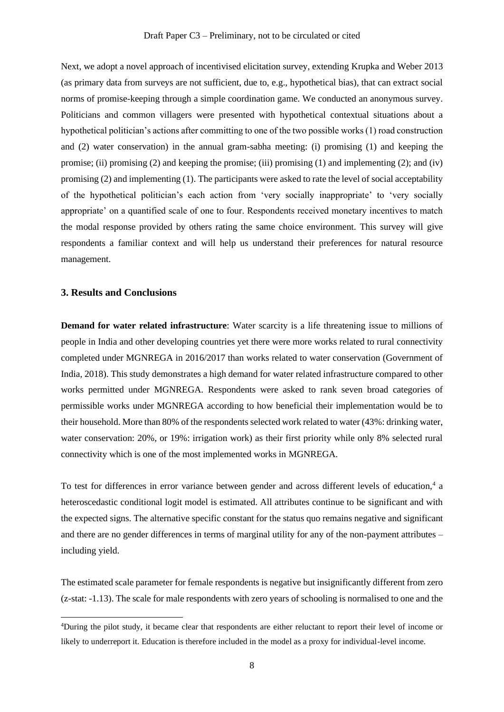Next, we adopt a novel approach of incentivised elicitation survey, extending Krupka and Weber 2013 (as primary data from surveys are not sufficient, due to, e.g., hypothetical bias), that can extract social norms of promise-keeping through a simple coordination game. We conducted an anonymous survey. Politicians and common villagers were presented with hypothetical contextual situations about a hypothetical politician's actions after committing to one of the two possible works (1) road construction and (2) water conservation) in the annual gram-sabha meeting: (i) promising (1) and keeping the promise; (ii) promising (2) and keeping the promise; (iii) promising (1) and implementing (2); and (iv) promising (2) and implementing (1). The participants were asked to rate the level of social acceptability of the hypothetical politician's each action from 'very socially inappropriate' to 'very socially appropriate' on a quantified scale of one to four. Respondents received monetary incentives to match the modal response provided by others rating the same choice environment. This survey will give respondents a familiar context and will help us understand their preferences for natural resource management.

#### **3. Results and Conclusions**

**Demand for water related infrastructure**: Water scarcity is a life threatening issue to millions of people in India and other developing countries yet there were more works related to rural connectivity completed under MGNREGA in 2016/2017 than works related to water conservation (Government of India, 2018). This study demonstrates a high demand for water related infrastructure compared to other works permitted under MGNREGA. Respondents were asked to rank seven broad categories of permissible works under MGNREGA according to how beneficial their implementation would be to their household. More than 80% of the respondents selected work related to water (43%: drinking water, water conservation: 20%, or 19%: irrigation work) as their first priority while only 8% selected rural connectivity which is one of the most implemented works in MGNREGA.

To test for differences in error variance between gender and across different levels of education,<sup>4</sup> a heteroscedastic conditional logit model is estimated. All attributes continue to be significant and with the expected signs. The alternative specific constant for the status quo remains negative and significant and there are no gender differences in terms of marginal utility for any of the non-payment attributes – including yield.

The estimated scale parameter for female respondents is negative but insignificantly different from zero (z-stat: -1.13). The scale for male respondents with zero years of schooling is normalised to one and the

<sup>4</sup>During the pilot study, it became clear that respondents are either reluctant to report their level of income or likely to underreport it. Education is therefore included in the model as a proxy for individual-level income.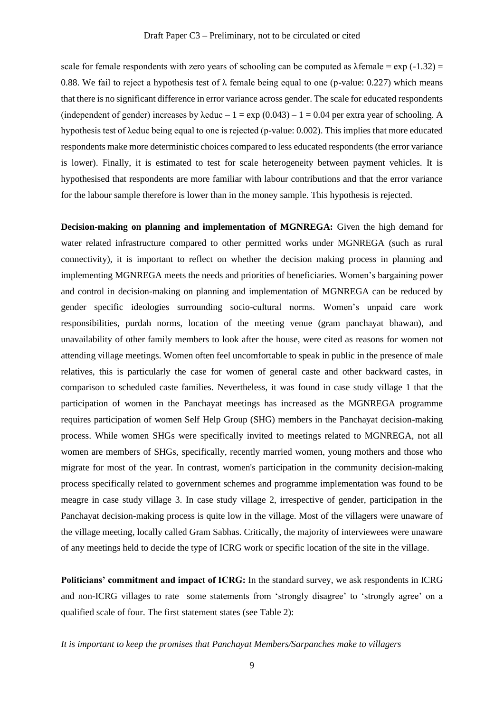scale for female respondents with zero years of schooling can be computed as  $\lambda$ female = exp (-1.32) = 0.88. We fail to reject a hypothesis test of  $\lambda$  female being equal to one (p-value: 0.227) which means that there is no significant difference in error variance across gender. The scale for educated respondents (independent of gender) increases by  $\lambda$ educ – 1 = exp (0.043) – 1 = 0.04 per extra year of schooling. A hypothesis test of λeduc being equal to one is rejected (p-value: 0.002). This implies that more educated respondents make more deterministic choices compared to less educated respondents (the error variance is lower). Finally, it is estimated to test for scale heterogeneity between payment vehicles. It is hypothesised that respondents are more familiar with labour contributions and that the error variance for the labour sample therefore is lower than in the money sample. This hypothesis is rejected.

**Decision-making on planning and implementation of MGNREGA:** Given the high demand for water related infrastructure compared to other permitted works under MGNREGA (such as rural connectivity), it is important to reflect on whether the decision making process in planning and implementing MGNREGA meets the needs and priorities of beneficiaries. Women's bargaining power and control in decision-making on planning and implementation of MGNREGA can be reduced by gender specific ideologies surrounding socio-cultural norms. Women's unpaid care work responsibilities, purdah norms, location of the meeting venue (gram panchayat bhawan), and unavailability of other family members to look after the house, were cited as reasons for women not attending village meetings. Women often feel uncomfortable to speak in public in the presence of male relatives, this is particularly the case for women of general caste and other backward castes, in comparison to scheduled caste families. Nevertheless, it was found in case study village 1 that the participation of women in the Panchayat meetings has increased as the MGNREGA programme requires participation of women Self Help Group (SHG) members in the Panchayat decision-making process. While women SHGs were specifically invited to meetings related to MGNREGA, not all women are members of SHGs, specifically, recently married women, young mothers and those who migrate for most of the year. In contrast, women's participation in the community decision-making process specifically related to government schemes and programme implementation was found to be meagre in case study village 3. In case study village 2, irrespective of gender, participation in the Panchayat decision-making process is quite low in the village. Most of the villagers were unaware of the village meeting, locally called Gram Sabhas. Critically, the majority of interviewees were unaware of any meetings held to decide the type of ICRG work or specific location of the site in the village.

**Politicians' commitment and impact of ICRG:** In the standard survey, we ask respondents in ICRG and non-ICRG villages to rate some statements from 'strongly disagree' to 'strongly agree' on a qualified scale of four. The first statement states (see Table 2):

#### *It is important to keep the promises that Panchayat Members/Sarpanches make to villagers*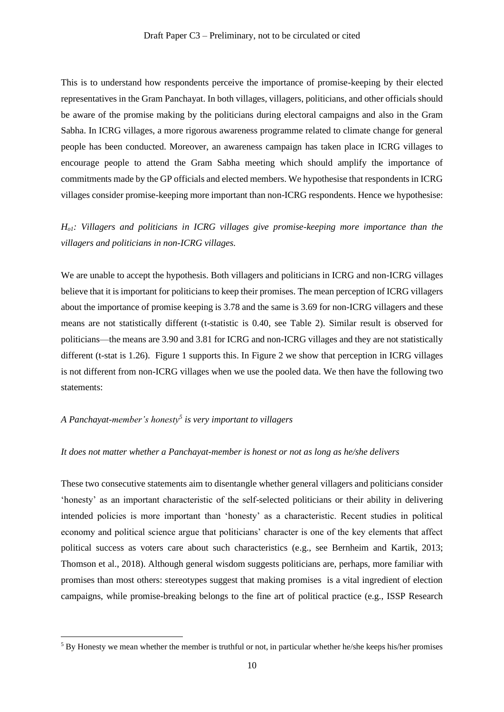This is to understand how respondents perceive the importance of promise-keeping by their elected representatives in the Gram Panchayat. In both villages, villagers, politicians, and other officials should be aware of the promise making by the politicians during electoral campaigns and also in the Gram Sabha. In ICRG villages, a more rigorous awareness programme related to climate change for general people has been conducted. Moreover, an awareness campaign has taken place in ICRG villages to encourage people to attend the Gram Sabha meeting which should amplify the importance of commitments made by the GP officials and elected members. We hypothesise that respondents in ICRG villages consider promise-keeping more important than non-ICRG respondents. Hence we hypothesise:

## *Ho1: Villagers and politicians in ICRG villages give promise-keeping more importance than the villagers and politicians in non-ICRG villages.*

We are unable to accept the hypothesis. Both villagers and politicians in ICRG and non-ICRG villages believe that it is important for politicians to keep their promises. The mean perception of ICRG villagers about the importance of promise keeping is 3.78 and the same is 3.69 for non-ICRG villagers and these means are not statistically different (t-statistic is 0.40, see Table 2). Similar result is observed for politicians—the means are 3.90 and 3.81 for ICRG and non-ICRG villages and they are not statistically different (t-stat is 1.26). Figure 1 supports this. In Figure 2 we show that perception in ICRG villages is not different from non-ICRG villages when we use the pooled data. We then have the following two statements:

#### *A Panchayat-member's honesty<sup>5</sup> is very important to villagers*

#### *It does not matter whether a Panchayat-member is honest or not as long as he/she delivers*

These two consecutive statements aim to disentangle whether general villagers and politicians consider 'honesty' as an important characteristic of the self-selected politicians or their ability in delivering intended policies is more important than 'honesty' as a characteristic. Recent studies in political economy and political science argue that politicians' character is one of the key elements that affect political success as voters care about such characteristics (e.g., see Bernheim and Kartik, 2013; Thomson et al., 2018). Although general wisdom suggests politicians are, perhaps, more familiar with promises than most others: stereotypes suggest that making promises is a vital ingredient of election campaigns, while promise-breaking belongs to the fine art of political practice (e.g., ISSP Research

<sup>&</sup>lt;sup>5</sup> By Honesty we mean whether the member is truthful or not, in particular whether he/she keeps his/her promises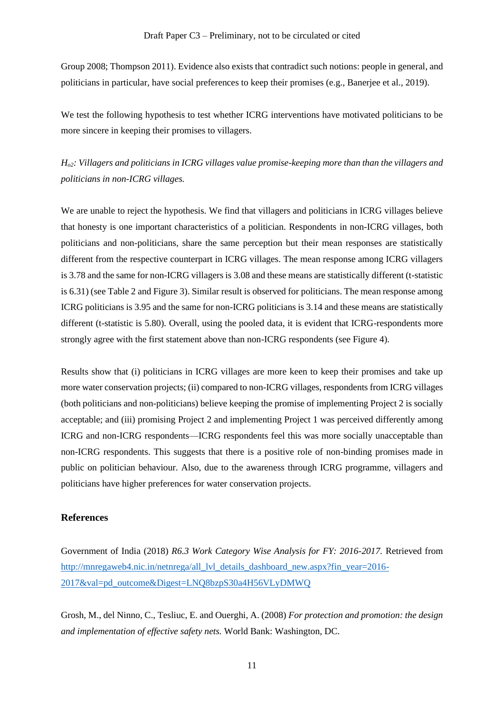Group 2008; Thompson 2011). Evidence also exists that contradict such notions: people in general, and politicians in particular, have social preferences to keep their promises (e.g., Banerjee et al., 2019).

We test the following hypothesis to test whether ICRG interventions have motivated politicians to be more sincere in keeping their promises to villagers.

*Ho2: Villagers and politicians in ICRG villages value promise-keeping more than than the villagers and politicians in non-ICRG villages.* 

We are unable to reject the hypothesis. We find that villagers and politicians in ICRG villages believe that honesty is one important characteristics of a politician. Respondents in non-ICRG villages, both politicians and non-politicians, share the same perception but their mean responses are statistically different from the respective counterpart in ICRG villages. The mean response among ICRG villagers is 3.78 and the same for non-ICRG villagers is 3.08 and these means are statistically different (t-statistic is 6.31) (see Table 2 and Figure 3). Similar result is observed for politicians. The mean response among ICRG politicians is 3.95 and the same for non-ICRG politicians is 3.14 and these means are statistically different (t-statistic is 5.80). Overall, using the pooled data, it is evident that ICRG-respondents more strongly agree with the first statement above than non-ICRG respondents (see Figure 4).

Results show that (i) politicians in ICRG villages are more keen to keep their promises and take up more water conservation projects; (ii) compared to non-ICRG villages, respondents from ICRG villages (both politicians and non-politicians) believe keeping the promise of implementing Project 2 is socially acceptable; and (iii) promising Project 2 and implementing Project 1 was perceived differently among ICRG and non-ICRG respondents—ICRG respondents feel this was more socially unacceptable than non-ICRG respondents. This suggests that there is a positive role of non-binding promises made in public on politician behaviour. Also, due to the awareness through ICRG programme, villagers and politicians have higher preferences for water conservation projects.

#### **References**

Government of India (2018) *R6.3 Work Category Wise Analysis for FY: 2016-2017.* Retrieved from [http://mnregaweb4.nic.in/netnrega/all\\_lvl\\_details\\_dashboard\\_new.aspx?fin\\_year=2016-](http://mnregaweb4.nic.in/netnrega/all_lvl_details_dashboard_new.aspx?fin_year=2016-2017&val=pd_outcome&Digest=LNQ8bzpS30a4H56VLyDMWQ) [2017&val=pd\\_outcome&Digest=LNQ8bzpS30a4H56VLyDMWQ](http://mnregaweb4.nic.in/netnrega/all_lvl_details_dashboard_new.aspx?fin_year=2016-2017&val=pd_outcome&Digest=LNQ8bzpS30a4H56VLyDMWQ)

Grosh, M., del Ninno, C., Tesliuc, E. and Ouerghi, A. (2008) *For protection and promotion: the design and implementation of effective safety nets.* World Bank: Washington, DC.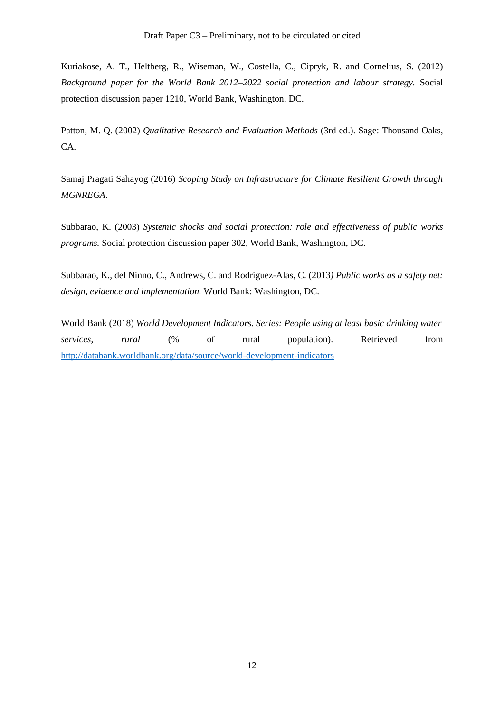Kuriakose, A. T., Heltberg, R., Wiseman, W., Costella, C., Cipryk, R. and Cornelius, S. (2012) *Background paper for the World Bank 2012–2022 social protection and labour strategy.* Social protection discussion paper 1210, World Bank, Washington, DC.

Patton, M. Q. (2002) *Qualitative Research and Evaluation Methods* (3rd ed.). Sage: Thousand Oaks, CA.

Samaj Pragati Sahayog (2016) *Scoping Study on Infrastructure for Climate Resilient Growth through MGNREGA*.

Subbarao, K. (2003) *Systemic shocks and social protection: role and effectiveness of public works programs.* Social protection discussion paper 302, World Bank, Washington, DC.

Subbarao, K., del Ninno, C., Andrews, C. and Rodriguez-Alas, C. (2013*) Public works as a safety net: design, evidence and implementation.* World Bank: Washington, DC.

World Bank (2018) *World Development Indicators. Series: People using at least basic drinking water services*, *rural* (% of rural population). Retrieved from <http://databank.worldbank.org/data/source/world-development-indicators>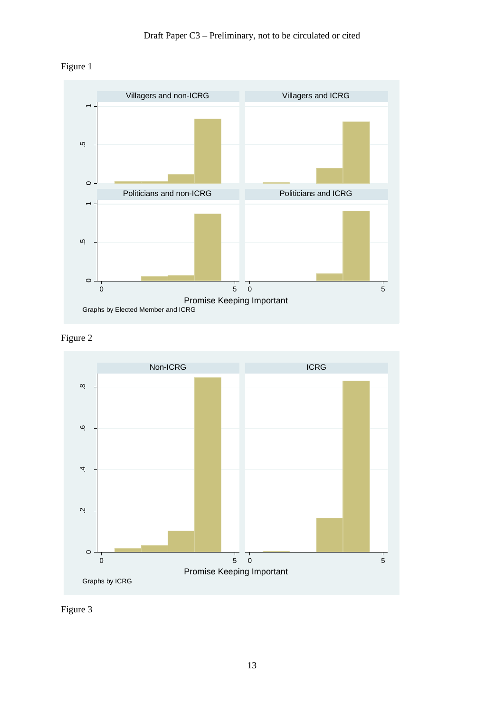







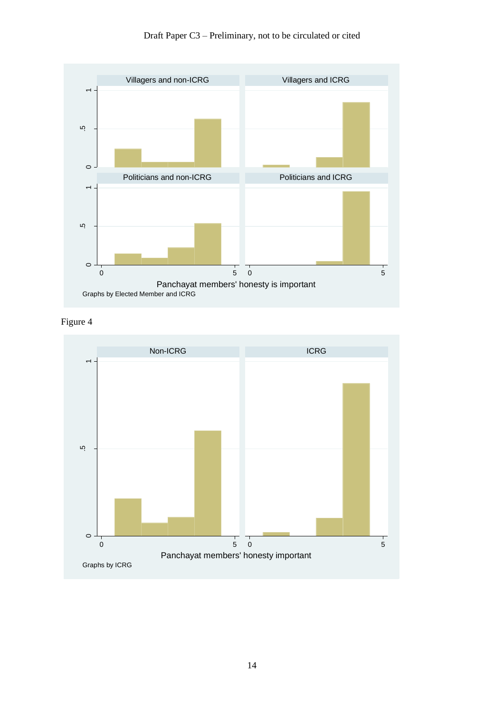

Draft Paper C3 – Preliminary, not to be circulated or cited



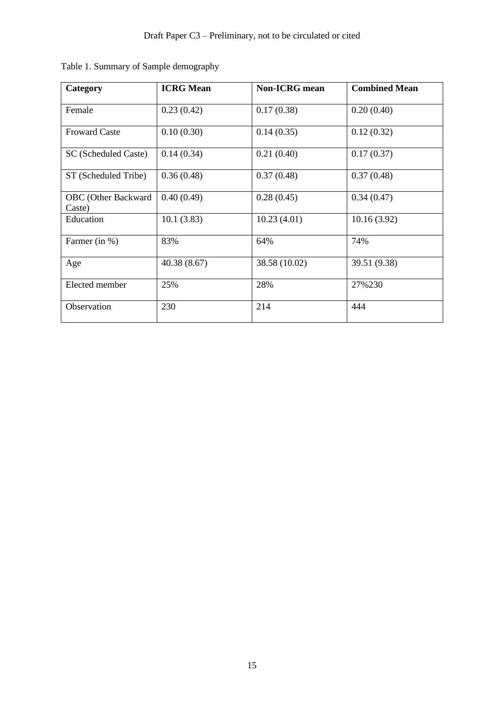| Category                             | <b>ICRG</b> Mean | Non-ICRG mean | <b>Combined Mean</b> |
|--------------------------------------|------------------|---------------|----------------------|
| Female                               | 0.23(0.42)       | 0.17(0.38)    | 0.20(0.40)           |
| <b>Froward Caste</b>                 | 0.10(0.30)       | 0.14(0.35)    | 0.12(0.32)           |
| SC (Scheduled Caste)                 | 0.14(0.34)       | 0.21(0.40)    | 0.17(0.37)           |
| ST (Scheduled Tribe)                 | 0.36(0.48)       | 0.37(0.48)    | 0.37(0.48)           |
| <b>OBC</b> (Other Backward<br>Caste) | 0.40(0.49)       | 0.28(0.45)    | 0.34(0.47)           |
| Education                            | 10.1(3.83)       | 10.23(4.01)   | 10.16(3.92)          |
| Farmer (in %)                        | 83%              | 64%           | 74%                  |
| Age                                  | 40.38(8.67)      | 38.58 (10.02) | 39.51 (9.38)         |
| Elected member                       | 25%              | 28%           | 27%230               |
| Observation                          | 230              | 214           | 444                  |

Table 1. Summary of Sample demography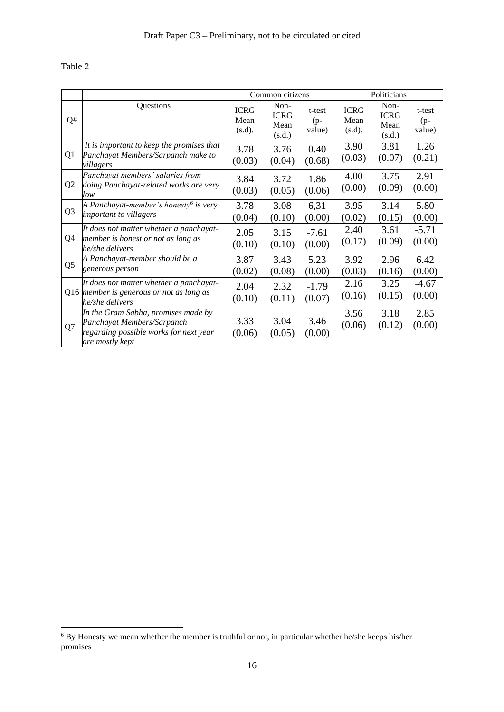## Table 2

|                |                                                                                                                                | Common citizens               |                                       | Politicians               |                               |                                       |                           |
|----------------|--------------------------------------------------------------------------------------------------------------------------------|-------------------------------|---------------------------------------|---------------------------|-------------------------------|---------------------------------------|---------------------------|
| Q#             | Questions                                                                                                                      | <b>ICRG</b><br>Mean<br>(s.d). | Non-<br><b>ICRG</b><br>Mean<br>(s.d.) | t-test<br>$(p-$<br>value) | <b>ICRG</b><br>Mean<br>(s.d). | Non-<br><b>ICRG</b><br>Mean<br>(s.d.) | t-test<br>$(p-$<br>value) |
| Q1             | It is important to keep the promises that<br>Panchayat Members/Sarpanch make to<br>villagers                                   | 3.78<br>(0.03)                | 3.76<br>(0.04)                        | 0.40<br>(0.68)            | 3.90<br>(0.03)                | 3.81<br>(0.07)                        | 1.26<br>(0.21)            |
| Q <sub>2</sub> | Panchayat members' salaries from<br>doing Panchayat-related works are very<br>low                                              | 3.84<br>(0.03)                | 3.72<br>(0.05)                        | 1.86<br>(0.06)            | 4.00<br>(0.00)                | 3.75<br>(0.09)                        | 2.91<br>(0.00)            |
| Q <sub>3</sub> | A Panchayat-member's honesty <sup>6</sup> is very<br><i>important to villagers</i>                                             | 3.78<br>(0.04)                | 3.08<br>(0.10)                        | 6,31<br>(0.00)            | 3.95<br>(0.02)                | 3.14<br>(0.15)                        | 5.80<br>(0.00)            |
| Q4             | It does not matter whether a panchayat-<br>member is honest or not as long as<br>he/she delivers                               | 2.05<br>(0.10)                | 3.15<br>(0.10)                        | $-7.61$<br>(0.00)         | 2.40<br>(0.17)                | 3.61<br>(0.09)                        | $-5.71$<br>(0.00)         |
| Q <sub>5</sub> | A Panchayat-member should be a<br>generous person                                                                              | 3.87<br>(0.02)                | 3.43<br>(0.08)                        | 5.23<br>(0.00)            | 3.92<br>(0.03)                | 2.96<br>(0.16)                        | 6.42<br>(0.00)            |
|                | It does not matter whether a panchayat-<br>Q16 member is generous or not as long as<br>he/she delivers                         | 2.04<br>(0.10)                | 2.32<br>(0.11)                        | $-1.79$<br>(0.07)         | 2.16<br>(0.16)                | 3.25<br>(0.15)                        | $-4.67$<br>(0.00)         |
| Q7             | In the Gram Sabha, promises made by<br>Panchayat Members/Sarpanch<br>regarding possible works for next year<br>are mostly kept | 3.33<br>(0.06)                | 3.04<br>(0.05)                        | 3.46<br>(0.00)            | 3.56<br>(0.06)                | 3.18<br>(0.12)                        | 2.85<br>(0.00)            |

 $6$  By Honesty we mean whether the member is truthful or not, in particular whether he/she keeps his/her promises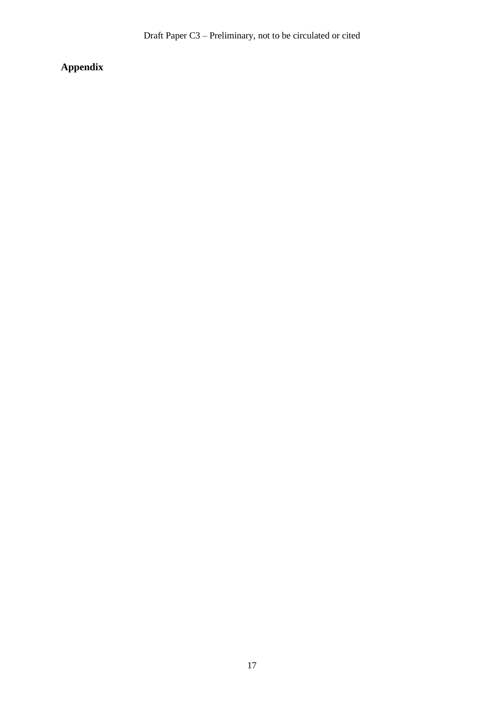## **Appendix**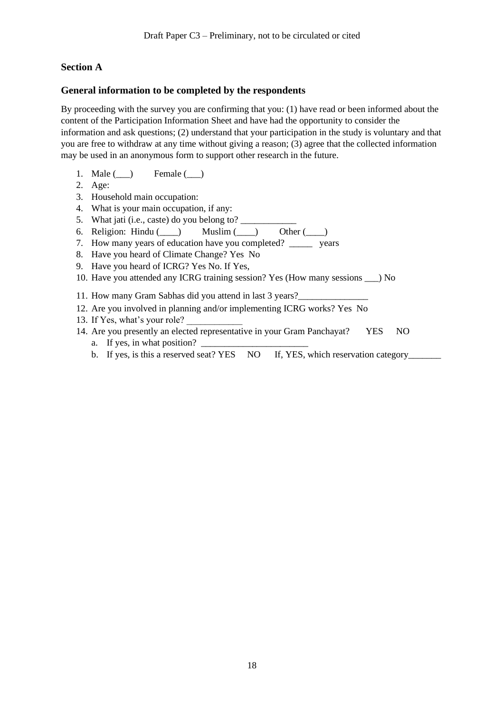## **Section A**

### **General information to be completed by the respondents**

By proceeding with the survey you are confirming that you: (1) have read or been informed about the content of the Participation Information Sheet and have had the opportunity to consider the information and ask questions; (2) understand that your participation in the study is voluntary and that you are free to withdraw at any time without giving a reason; (3) agree that the collected information may be used in an anonymous form to support other research in the future.

- 1. Male  $(\_)$  Female  $(\_)$
- 2. Age:
- 3. Household main occupation:
- 4. What is your main occupation, if any:
- 5. What jati (i.e., caste) do you belong to?
- 6. Religion: Hindu  $(\_\_\)$  Muslim  $(\_\_\)$  Other  $(\_\_\)$
- 7. How many years of education have you completed? \_\_\_\_\_ years
- 8. Have you heard of Climate Change? Yes No
- 9. Have you heard of ICRG? Yes No. If Yes,
- 10. Have you attended any ICRG training session? Yes (How many sessions \_\_\_) No
- 11. How many Gram Sabhas did you attend in last 3 years?
- 12. Are you involved in planning and/or implementing ICRG works? Yes No
- 13. If Yes, what's your role?
- 14. Are you presently an elected representative in your Gram Panchayat? YES NO
	- a. If yes, in what position? \_
	- b. If yes, is this a reserved seat? YES NO If, YES, which reservation category\_\_\_\_\_\_\_\_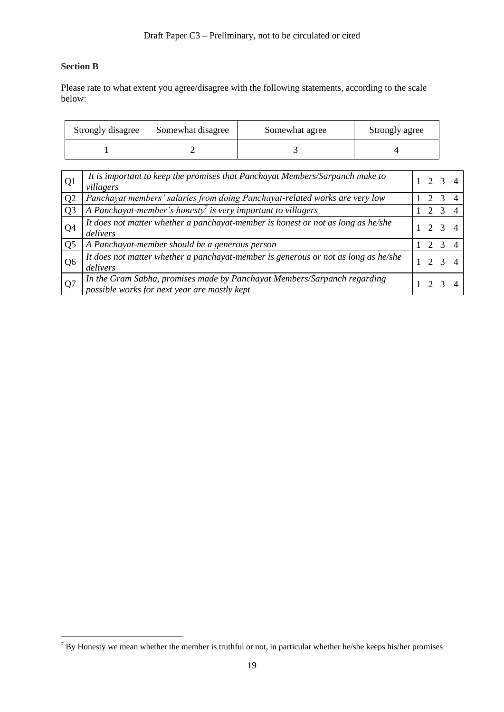### **Section B**

Please rate to what extent you agree/disagree with the following statements, according to the scale below:

| Strongly disagree | Somewhat disagree | Somewhat agree | Strongly agree |
|-------------------|-------------------|----------------|----------------|
|                   |                   |                |                |

| Q <sub>1</sub> | It is important to keep the promises that Panchayat Members/Sarpanch make to<br>villagers                                | 2 3 4         |  |
|----------------|--------------------------------------------------------------------------------------------------------------------------|---------------|--|
| Q <sub>2</sub> | Panchayat members' salaries from doing Panchayat-related works are very low                                              | 2 3           |  |
| Q <sub>3</sub> | A Panchayat-member's honesty <sup>7</sup> is very important to villagers                                                 | $2^{9}$       |  |
| Q <sub>4</sub> | It does not matter whether a panchayat-member is honest or not as long as he/she<br>delivers                             | 2 3 4         |  |
| Q <sub>5</sub> | A Panchayat-member should be a generous person                                                                           | $\mathcal{D}$ |  |
| Q <sub>6</sub> | It does not matter whether a panchayat-member is generous or not as long as he/she<br>delivers                           | 2 3 4         |  |
| Q7             | In the Gram Sabha, promises made by Panchayat Members/Sarpanch regarding<br>possible works for next year are mostly kept |               |  |

<sup>7</sup> By Honesty we mean whether the member is truthful or not, in particular whether he/she keeps his/her promises